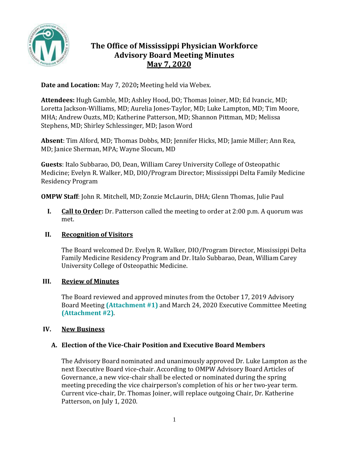

# **The Office of Mississippi Physician Workforce Advisory Board Meeting Minutes May 7, 2020**

**Date and Location:** May 7, 2020**;** Meeting held via Webex.

**Attendees:** Hugh Gamble, MD; Ashley Hood, DO; Thomas Joiner, MD; Ed Ivancic, MD; Loretta Jackson-Williams, MD; Aurelia Jones-Taylor, MD; Luke Lampton, MD; Tim Moore, MHA; Andrew Ouzts, MD; Katherine Patterson, MD; Shannon Pittman, MD; Melissa Stephens, MD; Shirley Schlessinger, MD; Jason Word

**Absent**: Tim Alford, MD; Thomas Dobbs, MD; Jennifer Hicks, MD; Jamie Miller; Ann Rea, MD; Janice Sherman, MPA; Wayne Slocum, MD

**Guests**: Italo Subbarao, DO, Dean, William Carey University College of Osteopathic Medicine; Evelyn R. Walker, MD, DIO/Program Director; Mississippi Delta Family Medicine Residency Program

**OMPW Staff**: John R. Mitchell, MD; Zonzie McLaurin, DHA; Glenn Thomas, Julie Paul

**I. Call to Order:** Dr. Patterson called the meeting to order at 2:00 p.m. A quorum was met.

## **II. Recognition of Visitors**

The Board welcomed Dr. Evelyn R. Walker, DIO/Program Director, Mississippi Delta Family Medicine Residency Program and Dr. Italo Subbarao, Dean, William Carey University College of Osteopathic Medicine.

## **III. Review of Minutes**

The Board reviewed and approved minutes from the October 17, 2019 Advisory Board Meeting **(Attachment #1)** and March 24, 2020 Executive Committee Meeting **(Attachment #2)**.

## **IV. New Business**

## **A. Election of the Vice-Chair Position and Executive Board Members**

The Advisory Board nominated and unanimously approved Dr. Luke Lampton as the next Executive Board vice-chair. According to OMPW Advisory Board Articles of Governance, a new vice-chair shall be elected or nominated during the spring meeting preceding the vice chairperson's completion of his or her two-year term. Current vice-chair, Dr. Thomas Joiner, will replace outgoing Chair, Dr. Katherine Patterson, on July 1, 2020.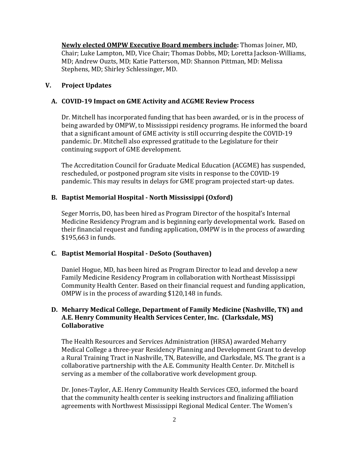**Newly elected OMPW Executive Board members include:** Thomas Joiner, MD, Chair; Luke Lampton, MD, Vice Chair; Thomas Dobbs, MD; Loretta Jackson-Williams, MD; Andrew Ouzts, MD; Katie Patterson, MD: Shannon Pittman, MD: Melissa Stephens, MD; Shirley Schlessinger, MD.

### **V. Project Updates**

### **A. COVID-19 Impact on GME Activity and ACGME Review Process**

Dr. Mitchell has incorporated funding that has been awarded, or is in the process of being awarded by OMPW, to Mississippi residency programs. He informed the board that a significant amount of GME activity is still occurring despite the COVID-19 pandemic. Dr. Mitchell also expressed gratitude to the Legislature for their continuing support of GME development.

The Accreditation Council for Graduate Medical Education (ACGME) has suspended, rescheduled, or postponed program site visits in response to the COVID-19 pandemic. This may results in delays for GME program projected start-up dates.

### **B. Baptist Memorial Hospital - North Mississippi (Oxford)**

Seger Morris, DO, has been hired as Program Director of the hospital's Internal Medicine Residency Program and is beginning early developmental work. Based on their financial request and funding application, OMPW is in the process of awarding \$195,663 in funds.

## **C. Baptist Memorial Hospital - DeSoto (Southaven)**

Daniel Hogue, MD, has been hired as Program Director to lead and develop a new Family Medicine Residency Program in collaboration with Northeast Mississippi Community Health Center. Based on their financial request and funding application, OMPW is in the process of awarding \$120,148 in funds.

### **D. Meharry Medical College, Department of Family Medicine (Nashville, TN) and A.E. Henry Community Health Services Center, Inc. (Clarksdale, MS) Collaborative**

The Health Resources and Services Administration (HRSA) awarded Meharry Medical College a three-year Residency Planning and Development Grant to develop a Rural Training Tract in Nashville, TN, Batesville, and Clarksdale, MS. The grant is a collaborative partnership with the A.E. Community Health Center. Dr. Mitchell is serving as a member of the collaborative work development group.

Dr. Jones-Taylor, A.E. Henry Community Health Services CEO, informed the board that the community health center is seeking instructors and finalizing affiliation agreements with Northwest Mississippi Regional Medical Center. The Women's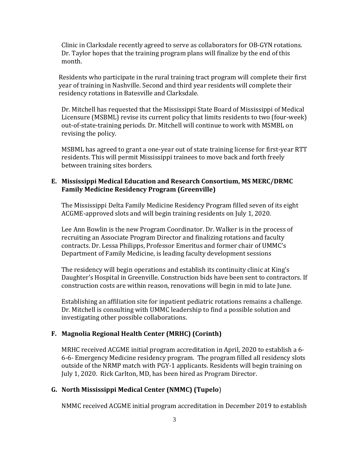Clinic in Clarksdale recently agreed to serve as collaborators for OB-GYN rotations. Dr. Taylor hopes that the training program plans will finalize by the end of this month.

Residents who participate in the rural training tract program will complete their first year of training in Nashville. Second and third year residents will complete their residency rotations in Batesville and Clarksdale.

Dr. Mitchell has requested that the Mississippi State Board of Mississippi of Medical Licensure (MSBML) revise its current policy that limits residents to two (four-week) out-of-state-training periods. Dr. Mitchell will continue to work with MSMBL on revising the policy.

MSBML has agreed to grant a one-year out of state training license for first-year RTT residents. This will permit Mississippi trainees to move back and forth freely between training sites borders.

### **E. Mississippi Medical Education and Research Consortium, MS MERC/DRMC Family Medicine Residency Program (Greenville)**

The Mississippi Delta Family Medicine Residency Program filled seven of its eight ACGME-approved slots and will begin training residents on July 1, 2020.

Lee Ann Bowlin is the new Program Coordinator. Dr. Walker is in the process of recruiting an Associate Program Director and finalizing rotations and faculty contracts. Dr. Lessa Philipps, Professor Emeritus and former chair of UMMC's Department of Family Medicine, is leading faculty development sessions

The residency will begin operations and establish its continuity clinic at King's Daughter's Hospital in Greenville. Construction bids have been sent to contractors. If construction costs are within reason, renovations will begin in mid to late June.

Establishing an affiliation site for inpatient pediatric rotations remains a challenge. Dr. Mitchell is consulting with UMMC leadership to find a possible solution and investigating other possible collaborations.

## **F. Magnolia Regional Health Center (MRHC) (Corinth)**

MRHC received ACGME initial program accreditation in April, 2020 to establish a 6- 6-6- Emergency Medicine residency program. The program filled all residency slots outside of the NRMP match with PGY-1 applicants. Residents will begin training on July 1, 2020. Rick Carlton, MD, has been hired as Program Director.

## **G. North Mississippi Medical Center (NMMC) (Tupelo**)

NMMC received ACGME initial program accreditation in December 2019 to establish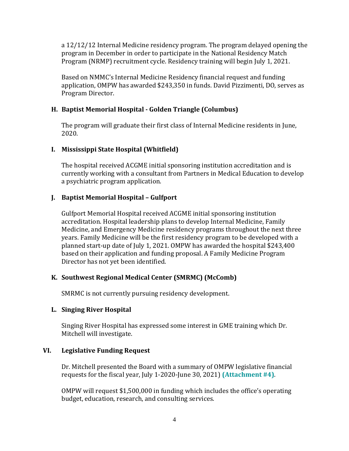a 12/12/12 Internal Medicine residency program. The program delayed opening the program in December in order to participate in the National Residency Match Program (NRMP) recruitment cycle. Residency training will begin July 1, 2021.

Based on NMMC's Internal Medicine Residency financial request and funding application, OMPW has awarded \$243,350 in funds. David Pizzimenti, DO, serves as Program Director.

## **H. Baptist Memorial Hospital - Golden Triangle (Columbus)**

The program will graduate their first class of Internal Medicine residents in June, 2020.

### **I. Mississippi State Hospital (Whitfield)**

The hospital received ACGME initial sponsoring institution accreditation and is currently working with a consultant from Partners in Medical Education to develop a psychiatric program application.

### **J. Baptist Memorial Hospital – Gulfport**

Gulfport Memorial Hospital received ACGME initial sponsoring institution accreditation. Hospital leadership plans to develop Internal Medicine, Family Medicine, and Emergency Medicine residency programs throughout the next three years. Family Medicine will be the first residency program to be developed with a planned start-up date of July 1, 2021. OMPW has awarded the hospital \$243,400 based on their application and funding proposal. A Family Medicine Program Director has not yet been identified.

## **K. Southwest Regional Medical Center (SMRMC) (McComb)**

SMRMC is not currently pursuing residency development.

#### **L. Singing River Hospital**

Singing River Hospital has expressed some interest in GME training which Dr. Mitchell will investigate.

#### **VI. Legislative Funding Request**

Dr. Mitchell presented the Board with a summary of OMPW legislative financial requests for the fiscal year, July 1-2020-June 30, 2021) **(Attachment #4)**.

OMPW will request \$1,500,000 in funding which includes the office's operating budget, education, research, and consulting services.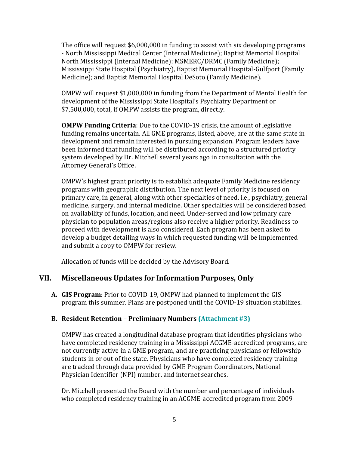The office will request \$6,000,000 in funding to assist with six developing programs - North Mississippi Medical Center (Internal Medicine); Baptist Memorial Hospital North Mississippi (Internal Medicine); MSMERC/DRMC (Family Medicine); Mississippi State Hospital (Psychiatry), Baptist Memorial Hospital-Gulfport (Family Medicine); and Baptist Memorial Hospital DeSoto (Family Medicine).

OMPW will request \$1,000,000 in funding from the Department of Mental Health for development of the Mississippi State Hospital's Psychiatry Department or \$7,500,000, total, if OMPW assists the program, directly.

**OMPW Funding Criteria**: Due to the COVID-19 crisis, the amount of legislative funding remains uncertain. All GME programs, listed, above, are at the same state in development and remain interested in pursuing expansion. Program leaders have been informed that funding will be distributed according to a structured priority system developed by Dr. Mitchell several years ago in consultation with the Attorney General's Office.

OMPW's highest grant priority is to establish adequate Family Medicine residency programs with geographic distribution. The next level of priority is focused on primary care, in general, along with other specialties of need, i.e., psychiatry, general medicine, surgery, and internal medicine. Other specialties will be considered based on availability of funds, location, and need. Under-served and low primary care physician to population areas/regions also receive a higher priority. Readiness to proceed with development is also considered. Each program has been asked to develop a budget detailing ways in which requested funding will be implemented and submit a copy to OMPW for review.

Allocation of funds will be decided by the Advisory Board.

## **VII. Miscellaneous Updates for Information Purposes, Only**

**A. GIS Program**: Prior to COVID-19, OMPW had planned to implement the GIS program this summer. Plans are postponed until the COVID-19 situation stabilizes.

## **B. Resident Retention – Preliminary Numbers (Attachment #3)**

OMPW has created a longitudinal database program that identifies physicians who have completed residency training in a Mississippi ACGME-accredited programs, are not currently active in a GME program, and are practicing physicians or fellowship students in or out of the state. Physicians who have completed residency training are tracked through data provided by GME Program Coordinators, National Physician Identifier (NPI) number, and internet searches.

Dr. Mitchell presented the Board with the number and percentage of individuals who completed residency training in an ACGME-accredited program from 2009